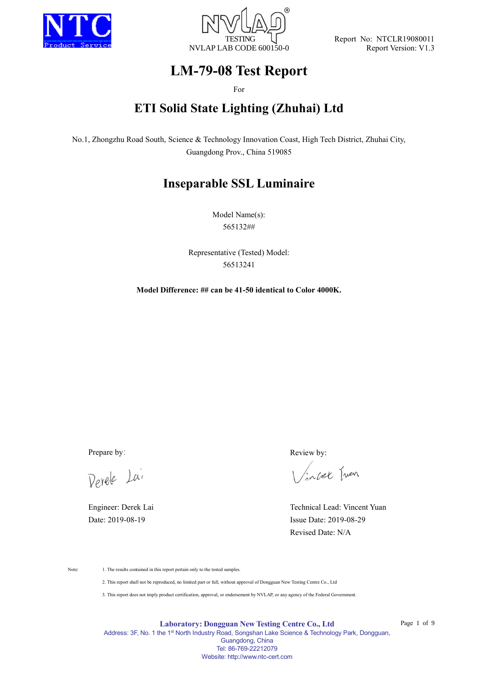



Report No: NTCLR19080011 Report Version: V1.3

# **LM-79-08 Test Report**

For

# **ETI Solid State Lighting (Zhuhai) Ltd**

No.1, Zhongzhu Road South, Science & Technology Innovation Coast, High Tech District, Zhuhai City, Guangdong Prov., China 519085

# **Inseparable SSL Luminaire**

Model Name(s): 565132##

Representative (Tested) Model: 56513241

**Model Difference: ## can be 41-50 identical to Color 4000K.**

Derele Lai

Prepare by: Review by:

incet Juen

Engineer: Derek Lai Technical Lead: Vincent Yuan Date: 2019-08-19 Issue Date: 2019-08-29 Revised Date: N/A

Note: 1. The results contained in this report pertain only to the tested samples.

2. This report shall not be reproduced, no limited part or full, without approval of Dongguan New Testing Centre Co., Ltd

3. This report does not imply product certification, approval, or endorsement by NVLAP, or any agency of the Federal Government.

**Laboratory: Dongguan New Testing Centre Co., Ltd** Address: 3F, No. 1 the 1<sup>st</sup> North Industry Road, Songshan Lake Science & Technology Park, Dongguan, Guangdong, China Tel: 86-769-22212079

Website: http://www.ntc-cert.com

Page 1 of 9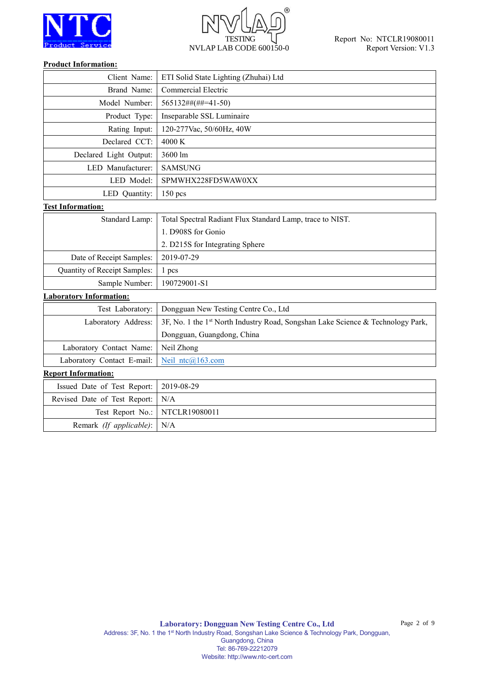

# $^{\circledR}$ **TESTING** NVLAP LAB CODE 600150-0

#### **Product Information:**

| Client Name:                   | ETI Solid State Lighting (Zhuhai) Ltd                                           |  |  |  |  |  |  |
|--------------------------------|---------------------------------------------------------------------------------|--|--|--|--|--|--|
| Brand Name:                    | <b>Commercial Electric</b>                                                      |  |  |  |  |  |  |
| Model Number:                  | $565132\# \# \# \# \# \# \{41-50\}$                                             |  |  |  |  |  |  |
| Product Type:                  | Inseparable SSL Luminaire                                                       |  |  |  |  |  |  |
| Rating Input:                  | 120-277Vac, 50/60Hz, 40W                                                        |  |  |  |  |  |  |
| Declared CCT:                  | 4000 K                                                                          |  |  |  |  |  |  |
| Declared Light Output:         | 3600 lm                                                                         |  |  |  |  |  |  |
| LED Manufacturer:              | <b>SAMSUNG</b>                                                                  |  |  |  |  |  |  |
| LED Model:                     | SPMWHX228FD5WAW0XX                                                              |  |  |  |  |  |  |
| LED Quantity:                  | $150$ pcs                                                                       |  |  |  |  |  |  |
| <b>Test Information:</b>       |                                                                                 |  |  |  |  |  |  |
| Standard Lamp:                 | Total Spectral Radiant Flux Standard Lamp, trace to NIST.                       |  |  |  |  |  |  |
|                                | 1. D908S for Gonio                                                              |  |  |  |  |  |  |
|                                | 2. D215S for Integrating Sphere                                                 |  |  |  |  |  |  |
| Date of Receipt Samples:       | 2019-07-29                                                                      |  |  |  |  |  |  |
| Quantity of Receipt Samples:   | 1 <sub>pos</sub>                                                                |  |  |  |  |  |  |
| Sample Number:                 | 190729001-S1                                                                    |  |  |  |  |  |  |
| <b>Laboratory Information:</b> |                                                                                 |  |  |  |  |  |  |
| Test Laboratory:               | Dongguan New Testing Centre Co., Ltd                                            |  |  |  |  |  |  |
| Laboratory Address:            | 3F, No. 1 the 1st North Industry Road, Songshan Lake Science & Technology Park, |  |  |  |  |  |  |
|                                | Dongguan, Guangdong, China                                                      |  |  |  |  |  |  |
| Laboratory Contact Name:       | Neil Zhong                                                                      |  |  |  |  |  |  |
| Laboratory Contact E-mail:     | Neil ntc@163.com                                                                |  |  |  |  |  |  |
| <b>Report Information:</b>     |                                                                                 |  |  |  |  |  |  |
| Issued Date of Test Report:    | 2019-08-29                                                                      |  |  |  |  |  |  |
| Revised Date of Test Report:   | N/A                                                                             |  |  |  |  |  |  |
| Test Report No.:               | NTCLR19080011                                                                   |  |  |  |  |  |  |
| Remark (If applicable):        | N/A                                                                             |  |  |  |  |  |  |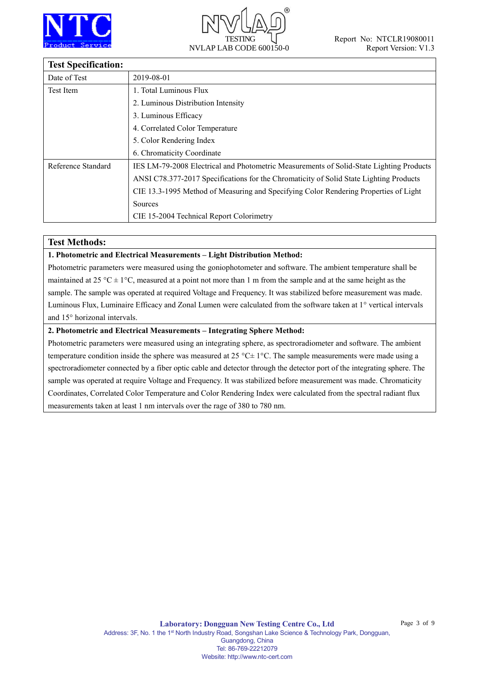



## **Test Specification:**

| тел эреспичноп.    |                                                                                         |
|--------------------|-----------------------------------------------------------------------------------------|
| Date of Test       | 2019-08-01                                                                              |
| Test Item          | 1. Total Luminous Flux                                                                  |
|                    | 2. Luminous Distribution Intensity                                                      |
|                    | 3. Luminous Efficacy                                                                    |
|                    | 4. Correlated Color Temperature                                                         |
|                    | 5. Color Rendering Index                                                                |
|                    | 6. Chromaticity Coordinate                                                              |
| Reference Standard | IES LM-79-2008 Electrical and Photometric Measurements of Solid-State Lighting Products |
|                    | ANSI C78.377-2017 Specifications for the Chromaticity of Solid State Lighting Products  |
|                    | CIE 13.3-1995 Method of Measuring and Specifying Color Rendering Properties of Light    |
|                    | Sources                                                                                 |
|                    | CIE 15-2004 Technical Report Colorimetry                                                |

#### **Test Methods:**

#### **1. Photometric and Electrical Measurements – Light Distribution Method:**

Photometric parameters were measured using the goniophotometer and software. The ambient temperature shall be maintained at 25 °C  $\pm$  1°C, measured at a point not more than 1 m from the sample and at the same height as the sample. The sample was operated at required Voltage and Frequency. It was stabilized before measurement was made. Luminous Flux, Luminaire Efficacy and Zonal Lumen were calculated from the software taken at 1° vertical intervals and 15° horizonal intervals.

#### **2. Photometric and Electrical Measurements – Integrating Sphere Method:**

Photometric parameters were measured using an integrating sphere, as spectroradiometer and software. The ambient temperature condition inside the sphere was measured at 25 °C $\pm$  1°C. The sample measurements were made using a spectroradiometer connected by a fiber optic cable and detector through the detector port of the integrating sphere. The sample was operated at require Voltage and Frequency. It was stabilized before measurement was made. Chromaticity Coordinates, Correlated Color Temperature and Color Rendering Index were calculated from the spectral radiant flux measurements taken at least 1 nm intervals over the rage of 380 to 780 nm.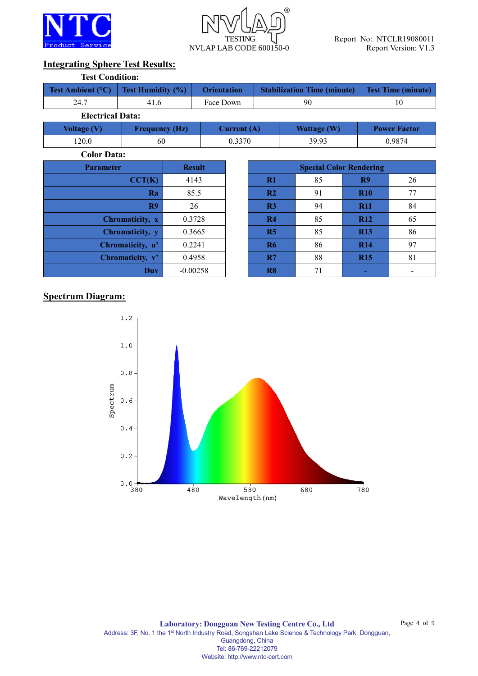



## **Integrating Sphere Test Results:**

| <b>Test Condition:</b>                       |                          |                    |    |                                    |                           |  |
|----------------------------------------------|--------------------------|--------------------|----|------------------------------------|---------------------------|--|
| <b>Test Ambient (<math>^{\circ}</math>C)</b> | <b>Test Humidity (%)</b> | <b>Orientation</b> |    | <b>Stabilization Time (minute)</b> | <b>Test Time (minute)</b> |  |
| 24.7                                         | 41.6                     | Face Down          | 90 |                                    |                           |  |
| <b>Electrical Data:</b>                      |                          |                    |    |                                    |                           |  |
| Voltage $(V)$                                | <b>Frequency (Hz)</b>    | Current $(A)$      |    | <b>Wattage (W)</b>                 | <b>Power Factor</b>       |  |
| 120.0                                        | 60                       | 0.3370             |    | 39.93                              | 0.9874                    |  |

**Color Data:**

| <b>Parameter</b> | <b>Result</b> | <b>Special Color Rendering</b> |    |                |  |  |  |
|------------------|---------------|--------------------------------|----|----------------|--|--|--|
| CCT(K)           | 4143          | $\mathbf{R}1$                  | 85 | R <sub>9</sub> |  |  |  |
| Ra               | 85.5          | R <sub>2</sub>                 | 91 | <b>R10</b>     |  |  |  |
| R9               | 26            | R <sub>3</sub>                 | 94 | <b>R11</b>     |  |  |  |
| Chromaticity, x  | 0.3728        | R <sub>4</sub>                 | 85 | <b>R12</b>     |  |  |  |
| Chromaticity, y  | 0.3665        | R5                             | 85 | <b>R13</b>     |  |  |  |
| Chromaticity, u' | 0.2241        | <b>R6</b>                      | 86 | <b>R14</b>     |  |  |  |
| Chromaticity, v' | 0.4958        | R7                             | 88 | <b>R15</b>     |  |  |  |
| Duv              | $-0.00258$    | R8                             | 71 |                |  |  |  |

| meter            | <b>Result</b> | <b>Special Color Rendering</b> |    |                |    |  |  |  |  |
|------------------|---------------|--------------------------------|----|----------------|----|--|--|--|--|
| CCT(K)           | 4143          | R1                             | 85 | R <sub>9</sub> | 26 |  |  |  |  |
| Ra               | 85.5          | R2                             | 91 | <b>R10</b>     | 77 |  |  |  |  |
| R9               | 26            | R3                             | 94 | <b>R11</b>     | 84 |  |  |  |  |
| Chromaticity, x  | 0.3728        | R4                             | 85 | <b>R12</b>     | 65 |  |  |  |  |
| Chromaticity, y  | 0.3665        | R5                             | 85 | <b>R13</b>     | 86 |  |  |  |  |
| Chromaticity, u' | 0.2241        | <b>R6</b>                      | 86 | <b>R14</b>     | 97 |  |  |  |  |
| Chromaticity, v' | 0.4958        | R7                             | 88 | <b>R15</b>     | 81 |  |  |  |  |
| <b>Duv</b>       | $-0.00258$    | R <sub>8</sub>                 | 71 |                |    |  |  |  |  |

## **Spectrum Diagram:**

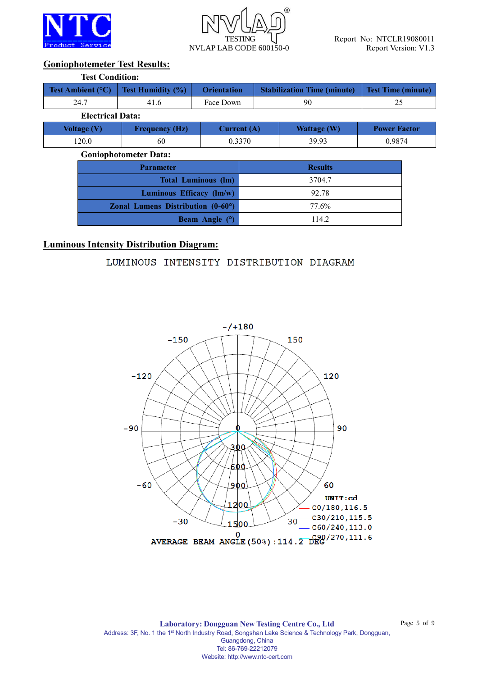



## **Goniophotemeter Test Results:**

| <b>Test Condition:</b>     |                                                              |                            |                |                                    |                           |        |  |  |  |
|----------------------------|--------------------------------------------------------------|----------------------------|----------------|------------------------------------|---------------------------|--------|--|--|--|
| Test Ambient $(^{\circ}C)$ | <b>Test Humidity (%)</b>                                     | <b>Orientation</b>         |                | <b>Stabilization Time (minute)</b> | <b>Test Time (minute)</b> |        |  |  |  |
| 24.7                       | 41.6                                                         | Face Down                  | 90             |                                    | 25                        |        |  |  |  |
| <b>Electrical Data:</b>    |                                                              |                            |                |                                    |                           |        |  |  |  |
| <b>Voltage (V)</b>         | <b>Frequency (Hz)</b>                                        |                            | Current $(A)$  | <b>Wattage (W)</b>                 | <b>Power Factor</b>       |        |  |  |  |
| 120.0                      | 60                                                           | 0.3370                     |                | 39.93                              |                           | 0.9874 |  |  |  |
|                            | <b>Goniophotometer Data:</b>                                 |                            |                |                                    |                           |        |  |  |  |
|                            | <b>Parameter</b>                                             |                            | <b>Results</b> |                                    |                           |        |  |  |  |
|                            |                                                              | <b>Total Luminous (lm)</b> | 3704.7         |                                    |                           |        |  |  |  |
|                            | Luminous Efficacy (lm/w)                                     |                            | 92.78          |                                    |                           |        |  |  |  |
|                            | <b>Zonal Lumens Distribution <math>(0-60^{\circ})</math></b> |                            | 77.6%          |                                    |                           |        |  |  |  |

**Beam Angle (°)** 114.2

## **Luminous Intensity Distribution Diagram:**

## LUMINOUS INTENSITY DISTRIBUTION DIAGRAM



**Laboratory: Dongguan New Testing Centre Co., Ltd** Address: 3F, No. 1 the 1<sup>st</sup> North Industry Road, Songshan Lake Science & Technology Park, Dongguan, Guangdong, China Tel: 86-769-22212079 Website: http://www.ntc-cert.com

Page 5 of 9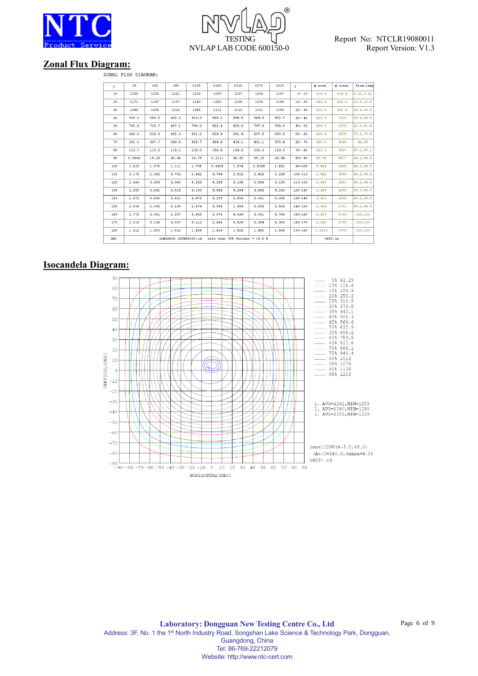



#### **Zonal Flux Diagram:**

ZONAL FLUX DIAGRAM:

| Y<br>10    | $_{\rm CO}$<br>1235 | C45<br>1225 | C90                   | C135  | C180   | C225                             | C270   | C315  | Y.          | $\Phi$ zone | $\Phi$ total | <i><b>%lum, lamp</b></i> |
|------------|---------------------|-------------|-----------------------|-------|--------|----------------------------------|--------|-------|-------------|-------------|--------------|--------------------------|
|            |                     |             |                       |       |        |                                  |        |       |             |             |              |                          |
|            |                     |             | 1221                  | 1233  | 1250   | 1257                             | 1254   | 1247  | $0 - 10$    | 119.4       | 119.4        | 3.22, 3.22               |
| 20         | 1171                | 1147        | 1137                  | 1163  | 1200   | 1208                             | 1200   | 1188  | $10 - 20$   | 342.6       | 462.0        | 12.5, 12.5               |
| 30         | 1069                | 1035        | 1016                  | 1055  | 1112   | 1118                             | 1101   | 1089  | $20 - 30$   | 520.9       | 982.9        | 26.5,26.5                |
| 40         | 934.0               | 888.5       | 863.3                 | 913.0 | 985.2  | 988.5                            | 964.5  | 952.7 | $30 - 40$   | 631.4       | 1614         | 43.6, 43.6               |
| 50         | 765.8               | 715.7       | 687.1                 | 740.2 | 822.4  | 825.0                            | 797.3  | 785.0 | $40 - 50$   | 659.7       | 2274         | 61.4, 61.4               |
| 60         | 566.5               | 519.4       | 492.3                 | 541.2 | 623.9  | 631.4                            | 607.2  | 590.5 | $50 - 60$   | 600.6       | 2875         | 77.6.77.6                |
| 70         | 341.2               | 307.7       | 290.8                 | 323.7 | 393.6  | 414.1                            | 401.1  | 375.4 | $60 - 70$   | 460.0       | 3335         | 90,90                    |
| 80         | 113.7               | 113.3       | 119.2                 | 120.0 | 150.5  | 193.6                            | 200.0  | 163.0 | $70 - 80$   | 262.0       | 3597         | 97.1, 97.1               |
| 90         | 0.0443              | 19.28       | 30.46                 | 19.75 | 0.2111 | 36.82                            | 55.10  | 24.96 | $80 - 90$   | 80.45       | 3677         | 99.3,99.3                |
| 100        | 1.020               | 1.475       | 1.111                 | 1.708 | 0.9305 | 1.574                            | 0.8538 | 1.631 | $90 - 100$  | 8.863       | 3686         | 99.5,99.5                |
| 110        | 3.170               | 2.305       | 3.703                 | 2.892 | 3.749  | 2.510                            | 2.426  | 2.258 | $100 - 110$ | 2.462       | 3688         | 99.6,99.6                |
| 120        | 2.664               | 3.659       | 3.084                 | 4.243 | 4.258  | 3.188                            | 2.858  | 3.185 | $110 - 120$ | 2.997       | 3691         | 99.6,99.6                |
| 130        | 2.350               | 4.662       | 4.416                 | 5.140 | 3.450  | 4.294                            | 3.865  | 4.240 | $120 - 130$ | 3.344       | 3695         | 99.7,99.7                |
| 140        | 2.472               | 5.600       | 5.421                 | 5.973 | 3.270  | 5.053                            | 5.001  | 5.088 | $130 - 140$ | 3.420       | 3698         | 99.8,99.8                |
| 150        | 2.634               | 2.065       | 6.190                 | 2.479 | 3.093  | 1.993                            | 5.333  | 2.583 | $140 - 150$ | 2.964       | 3701         | 99.9,99.9                |
| 160        | 2.772               | 4.452       | 2.287                 | 5.565 | 2.074  | 4.649                            | 3.041  | 4.763 | $150 - 160$ | 1.867       | 3703         | 100,100                  |
| 170        | 2.014               | 5.148       | 6.057                 | 5.112 | 2.664  | 5.628                            | 6.654  | 4.380 | $160 - 170$ | 1.360       | 3704         | 100,100                  |
| 180        | 1.412               | 1.453       | 1.432                 | 1.689 | 1.410  | 1.455                            | 1.430  | 1.689 | $170 - 180$ | 0.3663      | 3705         | 100,100                  |
| <b>DEG</b> |                     |             | LUMINOUS INTENSITY:cd |       |        | Less than $35%$ Percent = 13.6 % |        |       |             | UNIT: 1m    |              |                          |

#### **Isocandela Diagram:**

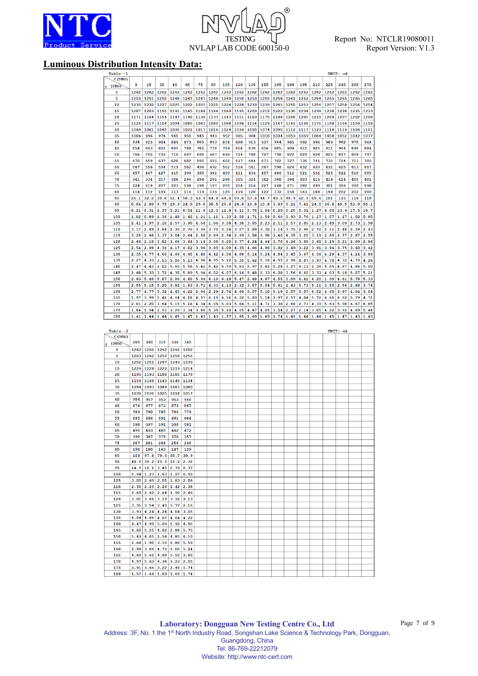

# $^{\circledR}$ **TESTING** NVLAP LAB CODE 600150-0

## **Luminous Distribution Intensity Data:**

| Table--1            |              |              |              |              |              |            |            |            |            |            |            |            |            |            |            |            | UNIT: cd   |            |            |
|---------------------|--------------|--------------|--------------|--------------|--------------|------------|------------|------------|------------|------------|------------|------------|------------|------------|------------|------------|------------|------------|------------|
| C (DEG)             |              |              |              |              |              |            |            |            |            |            |            |            |            |            |            |            |            |            |            |
| (DEG)               | 0            | 15           | 30           | 45           | 60           | 75         | 90         | 105        | 120        | 135        | 150        | 165        | 180        | 195        | 210        | 225        | 240        | 255        | 270        |
| 0                   | 1262         | 1262         | 1262         | 1262         | 1262         | 1262       | 1262       | 1262       | 1262       | 1262       | 1262       | 1262       | 1262       | 1262       | 1262       | 1262       | 1262       | 1262       | 1262       |
| 5                   | 1253         | 1251         | 1250         | 1248         | 1247         | 1247       | 1248       | 1249       | 1250       | 1253       | 1255       | 1258       | 1261       | 1262       | 1264       | 1265       | 1265       | 1265       | 1265       |
| 10                  | 1235         | 1232         | 1227         | 1225         | 1222         | 1221       | 1221       | 1224       | 1228       | 1233       | 1239       | 1245       | 1250       | 1253       | 1256       | 1257       | 1258       | 1256       | 1254       |
| 15                  | 1207         | 1203         | 1195         | 1191         | 1185         | 1184       | 1184       | 1189       | 1195       | 1203       | 1212       | 1222       | 1230       | 1234       | 1238       | 1238       | 1238       | 1235       | 1233       |
| 20                  | 1171         | 1164         | 1154         | 1147         | 1140         | 1138       | 1137       | 1143       | 1151       | 1163       | 1175       | 1188       | 1200       | 1205       | 1210       | 1208       | 1207       | 1202       | 1200       |
| 25                  | 1125         | 1117         | 1104         | 1094         | 1085         | 1081       | 1080       | 1088       | 1098       | 1114       | 1129       | 1147       | 1161       | 1166       | 1171       | 1168       | 1166       | 1159       | 1156       |
| 30                  | 1069         | 1061         | 1045         | 1035         | 1021         | 1017       | 1016       | 1024       | 1036       | 1055       | 1074       | 1095       | 1112       | 1117       | 1123       | 1118       | 1114       | 1106       | 1101       |
| 35                  | 1006         | 996          | 978          | 965          | 950          | 945        | 943        | 952        | 965        | 988        | 1010       | 1034       | 1053       | 1059       | 1064       | 1058       | 1052       | 1042       | 1037       |
| 40                  | 934          | 923          | 904          | 889          | 873          | 865        | 863        | 874        | 888        | 913        | 937        | 964        | 985        | 992        | 996        | 989        | 982        | 970        | 964        |
| 45<br>50            | 854<br>766   | 843<br>755   | 822<br>733   | 805<br>716   | 788<br>697   | 781<br>690 | 778<br>687 | 789<br>698 | 804<br>714 | 830<br>740 | 856<br>767 | 885<br>798 | 908<br>822 | 915<br>829 | 920<br>834 | 911<br>825 | 904<br>817 | 890<br>804 | 884<br>797 |
| 55                  | 670          | 659          | 637          | 620          | 602          | 595        | 591        | 602        | 617        | 644        | 671        | 702        | 727        | 735        | 741        | 732        | 724        | 711        | 705        |
| 60                  |              | 556          | 534          | 519          | 502          | 496        | 492        | 502        |            | 541        |            | 598        | 624        | 632        | 639        | 631        | 625        | 613        | 607        |
| 65                  | 567<br>457   | 447          | 427          | 415          | 399          | 395        | 391        | 400        | 516<br>411 | 434        | 567<br>457 | 486        | 512        | 521        | 531        | 525        | 522        | 510        | 505        |
| 70                  | 341          | 334          | 317          | 308          | 296          | 294        | 291        | 298        | 305        | 324        | 342        | 368        | 394        | 403        | 416        | 414        | 414        | 405        | 401        |
| 75                  | 224          | 219          | 207          | 203          | 198          | 198        | 197        | 200        | 204        | 216        | 227        | 248        | 271        | 282        | 299        | 301        | 306        | 300        | 298        |
| 80                  | 114          | 112          | 109          | 113          | 116          | 119        | 119        | 120        | 119        | 120        | 122        | 132        | 150        | 163        | 184        | 194        | 202        | 202        | 200        |
| 85                  | 26.1         | 32.2         | 39.8         | 51.4         | 58.3         | 63.9       | 64.4       | 64.0       | 59.0       | 53.6       | 44.7       | 40.5       | 48.9       | 62.9       | 85.6       | 101        | 115        | 118        | 118        |
| 90                  | 0.04         | 2.89         | 9.75         | 19.3         | 24.9         | 29.6       | 30.5       | 29.6       | 24.8       | 19.8       | 10.8       | 3.89       | 0.21       | 7.41       | 24.0       | 36.8       | 49.5       | 53.9       | 55.1       |
| 95                  | 0.21         | 0.31         | 1.37         | 5.21         | 8.54         | 11.9       | 12.3       | 11.8       | 9.11       | 5.76       | 1.04       | 0.20       | 0.25       | 0.31       | 1.27       | 6.00       | 13.9       | 17.0       | 18.7       |
| 100                 | 1.02         | 0.89         | 1.36         | 1.48         | 1.40         | 1.21       | 1.11       | 1.33       | 2.00       | 1.71       | 1.59       | 0.66       | 0.93       | 0.76       | 1.17       | 1.57       | 1.27       | 1.00       | 0.85       |
| 105                 | 2.41         | 1.97         | 2.10         | 2.57         | 3.90         | 4.64       | 1.86       | 3.58       | 4.30       | 3.05       | 2.23       | 2.11       | 2.57       | 2.05       | 2.13       | 2.40       | 3.09       | 2.73       | 1.58       |
| 110                 | 3.17         | 2.49         | 2.84         | 2.30         | 2.76         | 3.36       | 3.70       | 3.58       | 3.07       | 2.89       | 3.30       | 3.14       | 3.75       | 2.98       | 2.72       | 2.51       | 2.48       | 2.39       | 2.43       |
| 115                 | 3.25         | 2.66         | 3.37         | 3.04         | 2.64         | 2.68       | 2.89       | 2.94       | 2.99       | 3.58       | 3.98       | 3.40       | 4.35       | 3.20       | 3.19       | 2.85       | 2.77       | 2.67       | 2.55       |
| 120                 | 2.66         | 2.19         | 3.82         | 3.66         | 3.44         | 3.14       | 3.08       | 3.29       | 3.77       | 4.24       | 4.44       | 3.70       | 4.26       | 3.08       | 3.68       | 3.19       | 3.21       | 2.99       | 2.86       |
| 125                 | 2.54         | 2.99         | 4.36         | 4.17         | 4.02         | 3.96       | 3.85       | 4.09       | 4.35       | 4.66       | 4.96       | 3.02       | 3.49       | 3.22       | 3.91       | 3.94       | 3.75       | 3.60       | 3.42       |
| 130                 | 2.35         | 4.77         | 4.66         | 4.66         | 4.60         | 4.48       | 4.42       | 4.56       | 4.88       | 5.14       | 5.24       | 4.04       | 3.45       | 3.67       | 4.36       | 4.29       | 4.37       | 4.14       | 3.86       |
| 135                 | 2.27         | 4.33         | 3.53         | 5.06         | 5.13         | 4.96       | 4.95       | 5.12       | 5.35       | 5.62       | 5.16       | 4.55       | 2.96       | 4.07       | 3.97       | 4.70       | 4.32       | 4.70       | 4.26       |
| 140                 | 2.47         | 4.43         | 2.02         | 5.60         | 5.58         | 5.42       | 5.42       | 5.59       | 5.83       | 5.97       | 2.82       | 5.28       | 3.27       | 6.11       | 2.36       | 5.05       | 4.87       | 4.86       | 5.00       |
| 145                 | 2.68         | 5.33         | 3.72         | 4.35         | 5.89         | 5.94       | 6.02       | 6.07       | 6.16       | 5.48       | 2.33       | 6.08       | 3.56       | 6.60       | 3.33       | 4.03       | 5.18       | 5.07       | 5.21       |
| 150                 | 2.63         | 5.49         | 5.87         | 2.06         | 4.60         | 5.94       | 6.19       | 6.18       | 5.47       | 2.48       | 4.67       | 4.55       | 3.09       | 4.41       | 4.20       | 1.99       | 4.61       | 5.78       | 5.33       |
| 155                 | 2.55         | 5.15         | 5.20         | 3.82         | 1.63         | 3.71       | 4.33       | 4.13       | 2.32       | 3.57       | 5.04       | 5.61       | 2.43       | 5.73       | 5.11       | 3.50       | 2.56       | 2.68       | 3.74       |
| 160                 | 2.77         | 4.77         | 5.32         | 4.45         | 4.22         | 2.94       | 2.29       | 2.74       | 4.60       | 5.57       | 5.10       | 5.18       | 2.07       | 5.07       | 6.52       | 4.65       | 3.87       | 4.04       | 3.04       |
| 165                 | 1.97         | 3.99         | 5.42         | 4.64         | 4.18         | 4.97       | 6.19       | 6.56       | 6.32       | 5.83       | 5.14       | 3.97       | 2.57       | 4.04       | 5.72       | 6.66       | 6.62       | 5.79       | 4.71       |
| 170                 | 2.01         | 2.20         | 3.64         | 5.15         | 5.18         | 4.34       | 6.06       | 5.83       | 5.86       | 5.11       | 4.71       | 3.38       | 2.66       | 2.73       | 4.39       | 5.63       | 5.98       | 6.67       | 6.65       |
| 175                 | 1.84         | 1.94         | 2.93         | 3.29         | 3.34         | 3.88       | 5.35       | 5.10       | 4.05       | 4.47       | 4.05       | 3.54       | 2.27       | 2.14       | 3.05       | 4.02       | 3.92       | 4.69       | 5.46       |
| 180                 | 1.41         | 1.44         | 1.44         | 1.45         | 1.47         | 1.43       | 1.43       | 1.57       | 1.65       | 1.69       | 1.69       | 1.74       | 1.41       | 1.44       | 1.44       | 1.45       | 1.47       | 1.43       | 1.43       |
|                     |              |              |              |              |              |            |            |            |            |            |            |            |            |            |            |            |            |            |            |
| Table--2<br>C (DEG) |              |              |              |              |              |            |            |            |            |            |            |            |            |            |            |            | UNIT: cd   |            |            |
| (DEG)               | 285          | 300          | 315          | 330          | 345          |            |            |            |            |            |            |            |            |            |            |            |            |            |            |
| 0                   | 1262         | 1262         | 1262         | 1262         | 1262         |            |            |            |            |            |            |            |            |            |            |            |            |            |            |
| 5                   | 1263         | 1262         | 1259         | 1258         | 1256         |            |            |            |            |            |            |            |            |            |            |            |            |            |            |
| 10                  | 1252         | 1251         | 1247         | 1243         | 1239         |            |            |            |            |            |            |            |            |            |            |            |            |            |            |
| 15                  | 1229         | 1228         | 1222         | 1219         | 1214         |            |            |            |            |            |            |            |            |            |            |            |            |            |            |
| 20                  | 1195         | 1193         | 1188         | 1185         | 1179         |            |            |            |            |            |            |            |            |            |            |            |            |            |            |
| 25                  | 1150         | 1148         | 1143         | 1140         | 1134         |            |            |            |            |            |            |            |            |            |            |            |            |            |            |
| 30                  | 1094         | 1093         | 1089         | 1087         | 1080         |            |            |            |            |            |            |            |            |            |            |            |            |            |            |
| 35                  | 1030         | 1030         | 1025         | 1024         | 1017         |            |            |            |            |            |            |            |            |            |            |            |            |            |            |
| 40                  | 956          | 957          | 953          | 953          | 946          |            |            |            |            |            |            |            |            |            |            |            |            |            |            |
| 45                  | 876          | 877          | 873          | 873          | 867          |            |            |            |            |            |            |            |            |            |            |            |            |            |            |
| 50                  | 789          | 790          | 785          | 786          | 779          |            |            |            |            |            |            |            |            |            |            |            |            |            |            |
| 55                  | 695          | 696          | 691          | 691          | 684          |            |            |            |            |            |            |            |            |            |            |            |            |            |            |
| 60                  | 598          | 597          | 591          | 590          | 581          |            |            |            |            |            |            |            |            |            |            |            |            |            |            |
| 65                  | 495          | 493          | 485          | 482          | 472          |            |            |            |            |            |            |            |            |            |            |            |            |            |            |
| 70                  | 390          | 387          | 375          | 370          | 357          |            |            |            |            |            |            |            |            |            |            |            |            |            |            |
| 75                  | 287          | 281          | 266          | 256          | 240          |            |            |            |            |            |            |            |            |            |            |            |            |            |            |
| 80                  | 190          | 180          | 163          | 147          | 129          |            |            |            |            |            |            |            |            |            |            |            |            |            |            |
| 85                  | 109          | 97.8         | 79.6         | 60.7         | 39.9         |            |            |            |            |            |            |            |            |            |            |            |            |            |            |
| 90                  | 48.2         | 39.2         | 25.0         | 12.2         | 2.32         |            |            |            |            |            |            |            |            |            |            |            |            |            |            |
| 95                  | 14.5         | 10.1         | 3.45         | 0.79         | 0.37         |            |            |            |            |            |            |            |            |            |            |            |            |            |            |
| 100                 | 0.94         | 1.23         | 1.63         | 1.27         | 0.90         |            |            |            |            |            |            |            |            |            |            |            |            |            |            |
| 105                 | 3.05         | 2.69         | 2.05         | 1.83         | 2.08         |            |            |            |            |            |            |            |            |            |            |            |            |            |            |
| 110<br>115          | 2.35<br>2.60 | 2.29<br>2.62 | 2.26<br>2.64 | 2.42<br>2.90 | 2.38<br>2.49 |            |            |            |            |            |            |            |            |            |            |            |            |            |            |
| 120                 | 3.01         | 3.01         | 3.19         | 3.32         | 3.13         |            |            |            |            |            |            |            |            |            |            |            |            |            |            |
| 125                 | 3.35         | 3.54         | 3.49         | 3.77         | 2.16         |            |            |            |            |            |            |            |            |            |            |            |            |            |            |
| 130                 | 3.93         | 4.24         | 4.24         | 4.04         | 3.05         |            |            |            |            |            |            |            |            |            |            |            |            |            |            |
| 135                 | 4.04         | 4.66         | 4.67         | 4.04         | 4.22         |            |            |            |            |            |            |            |            |            |            |            |            |            |            |
| 140                 | 4.47         | 4.99         | 5.09         | 1.92         | 4.95         |            |            |            |            |            |            |            |            |            |            |            |            |            |            |
| 145                 | 4.60         | 5.25         | 4.02         | 2.88         | 5.75         |            |            |            |            |            |            |            |            |            |            |            |            |            |            |
| 150                 | 5.43         | 4.05         | 2.58         | 4.85         | 6.10         |            |            |            |            |            |            |            |            |            |            |            |            |            |            |
| 155                 | 2.68         | 1.90         | 3.10         | 6.86         | 5.59         |            |            |            |            |            |            |            |            |            |            |            |            |            |            |
| 160                 | 2.98         | 3.06         | 4.76         | 6.00         | 5.24         |            |            |            |            |            |            |            |            |            |            |            |            |            |            |
| 165                 | 4.60         | 5.61         | 4.08         | 5.52         | 3.80         |            |            |            |            |            |            |            |            |            |            |            |            |            |            |
| 170                 | 4.97         | 5.63         | 4.38         | 3.23         | 2.55         |            |            |            |            |            |            |            |            |            |            |            |            |            |            |
| 175                 | 3.91         | 3.66         | 3.22         | 2.46         | 1.74         |            |            |            |            |            |            |            |            |            |            |            |            |            |            |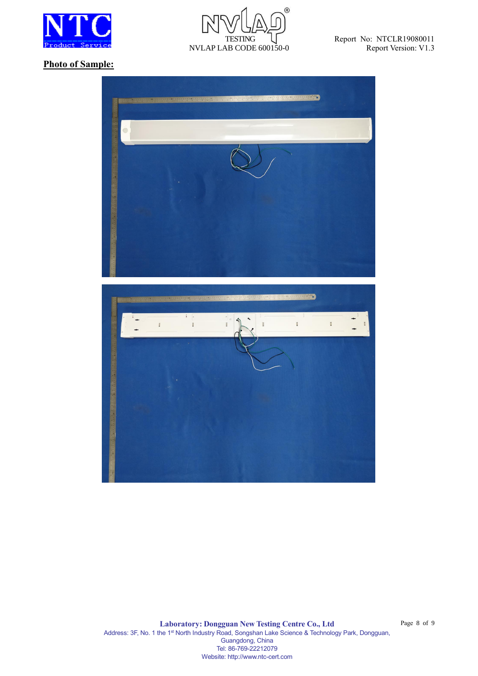



#### **Photo of Sample:**